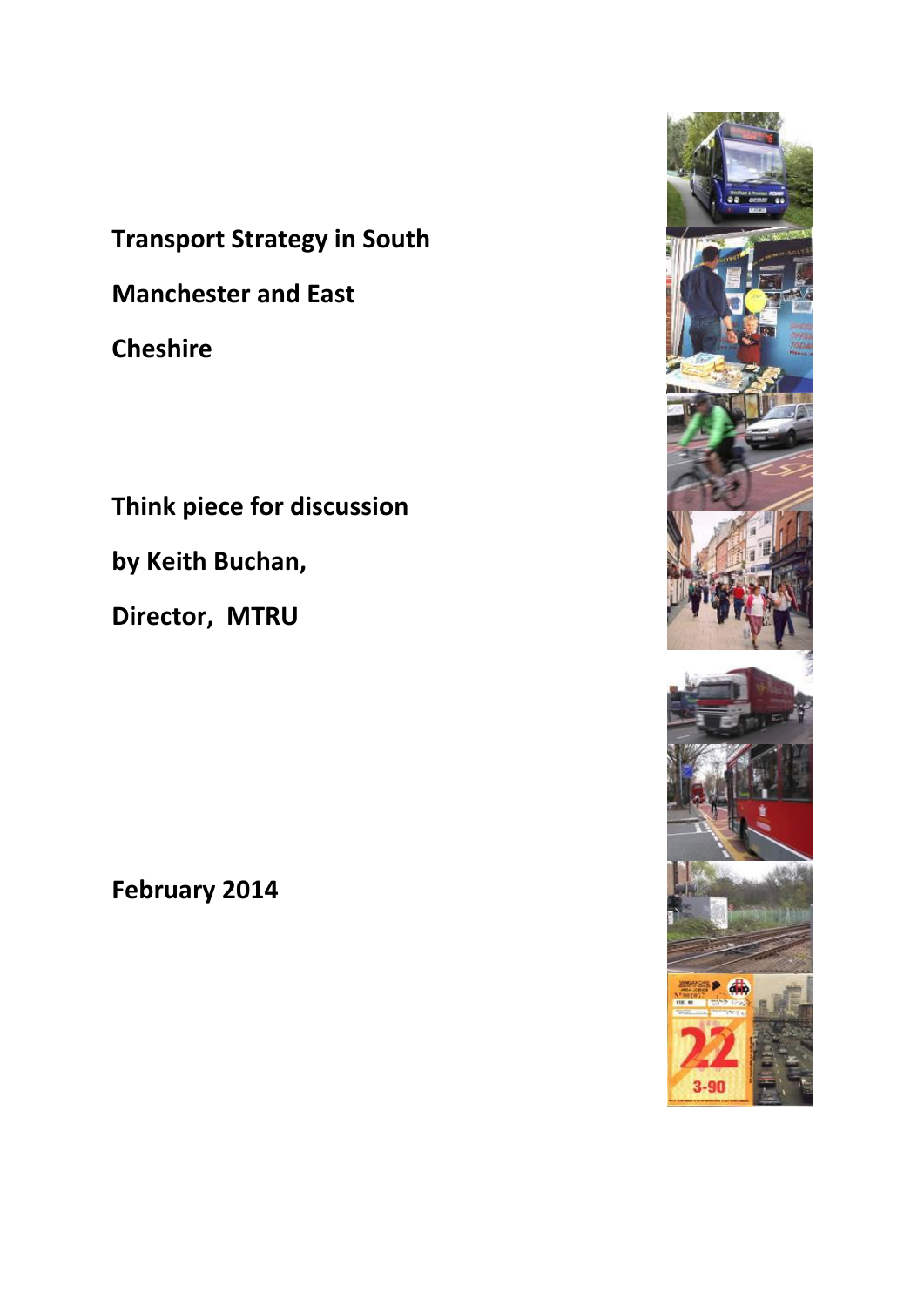**Transport Strategy in South Manchester and East Cheshire**

**Think piece for discussion**

**by Keith Buchan,**

**Director, MTRU**

**February 2014**

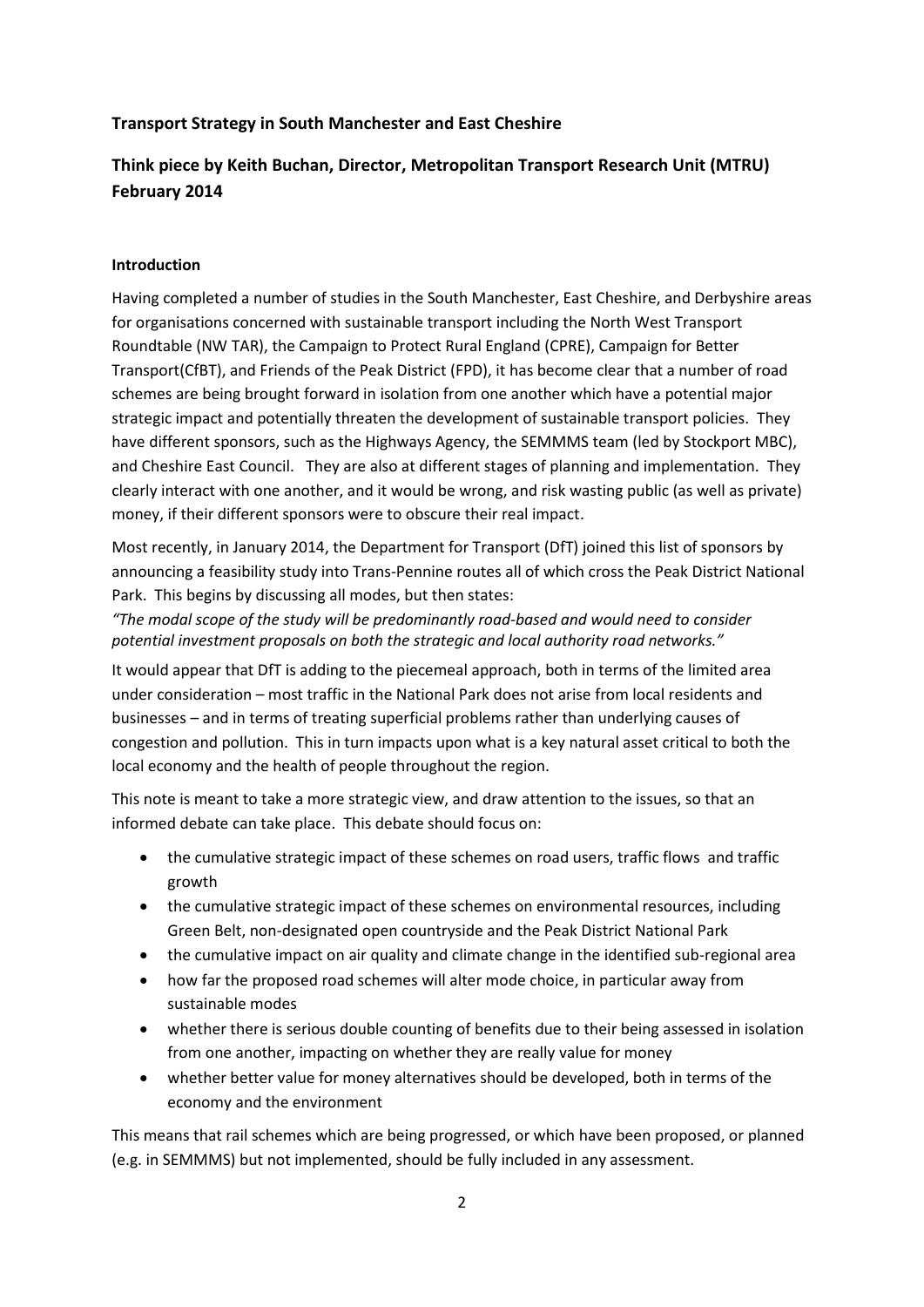## **Transport Strategy in South Manchester and East Cheshire**

# **Think piece by Keith Buchan, Director, Metropolitan Transport Research Unit (MTRU) February 2014**

## **Introduction**

Having completed a number of studies in the South Manchester, East Cheshire, and Derbyshire areas for organisations concerned with sustainable transport including the North West Transport Roundtable (NW TAR), the Campaign to Protect Rural England (CPRE), Campaign for Better Transport(CfBT), and Friends of the Peak District (FPD), it has become clear that a number of road schemes are being brought forward in isolation from one another which have a potential major strategic impact and potentially threaten the development of sustainable transport policies. They have different sponsors, such as the Highways Agency, the SEMMMS team (led by Stockport MBC), and Cheshire East Council. They are also at different stages of planning and implementation. They clearly interact with one another, and it would be wrong, and risk wasting public (as well as private) money, if their different sponsors were to obscure their real impact.

Most recently, in January 2014, the Department for Transport (DfT) joined this list of sponsors by announcing a feasibility study into Trans-Pennine routes all of which cross the Peak District National Park. This begins by discussing all modes, but then states:

*"The modal scope of the study will be predominantly road-based and would need to consider potential investment proposals on both the strategic and local authority road networks."*

It would appear that DfT is adding to the piecemeal approach, both in terms of the limited area under consideration – most traffic in the National Park does not arise from local residents and businesses – and in terms of treating superficial problems rather than underlying causes of congestion and pollution. This in turn impacts upon what is a key natural asset critical to both the local economy and the health of people throughout the region.

This note is meant to take a more strategic view, and draw attention to the issues, so that an informed debate can take place. This debate should focus on:

- the cumulative strategic impact of these schemes on road users, traffic flows and traffic growth
- the cumulative strategic impact of these schemes on environmental resources, including Green Belt, non-designated open countryside and the Peak District National Park
- the cumulative impact on air quality and climate change in the identified sub-regional area
- how far the proposed road schemes will alter mode choice, in particular away from sustainable modes
- whether there is serious double counting of benefits due to their being assessed in isolation from one another, impacting on whether they are really value for money
- whether better value for money alternatives should be developed, both in terms of the economy and the environment

This means that rail schemes which are being progressed, or which have been proposed, or planned (e.g. in SEMMMS) but not implemented, should be fully included in any assessment.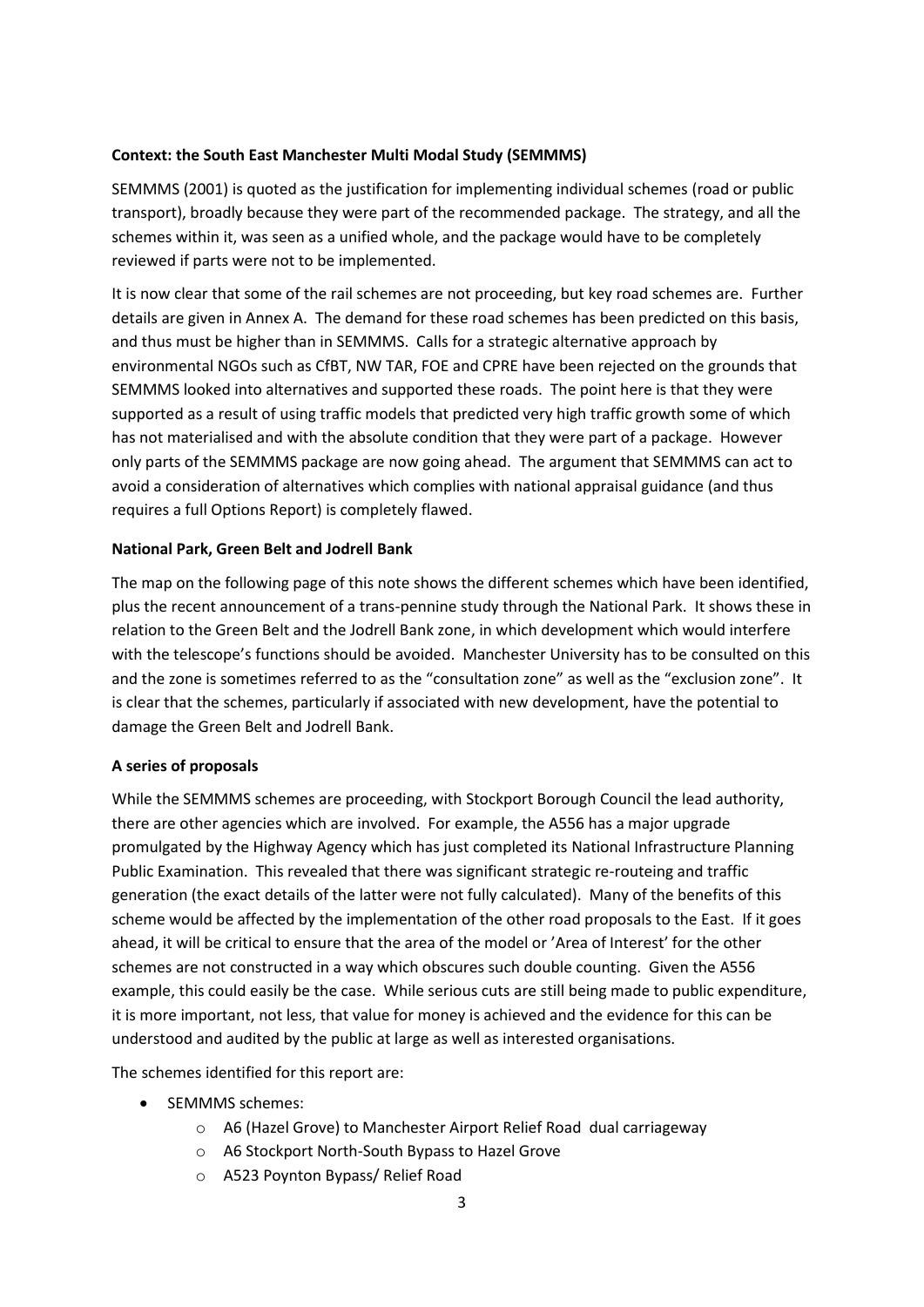## **Context: the South East Manchester Multi Modal Study (SEMMMS)**

SEMMMS (2001) is quoted as the justification for implementing individual schemes (road or public transport), broadly because they were part of the recommended package. The strategy, and all the schemes within it, was seen as a unified whole, and the package would have to be completely reviewed if parts were not to be implemented.

It is now clear that some of the rail schemes are not proceeding, but key road schemes are. Further details are given in Annex A. The demand for these road schemes has been predicted on this basis, and thus must be higher than in SEMMMS. Calls for a strategic alternative approach by environmental NGOs such as CfBT, NW TAR, FOE and CPRE have been rejected on the grounds that SEMMMS looked into alternatives and supported these roads. The point here is that they were supported as a result of using traffic models that predicted very high traffic growth some of which has not materialised and with the absolute condition that they were part of a package. However only parts of the SEMMMS package are now going ahead. The argument that SEMMMS can act to avoid a consideration of alternatives which complies with national appraisal guidance (and thus requires a full Options Report) is completely flawed.

## **National Park, Green Belt and Jodrell Bank**

The map on the following page of this note shows the different schemes which have been identified, plus the recent announcement of a trans-pennine study through the National Park. It shows these in relation to the Green Belt and the Jodrell Bank zone, in which development which would interfere with the telescope's functions should be avoided. Manchester University has to be consulted on this and the zone is sometimes referred to as the "consultation zone" as well as the "exclusion zone". It is clear that the schemes, particularly if associated with new development, have the potential to damage the Green Belt and Jodrell Bank.

#### **A series of proposals**

While the SEMMMS schemes are proceeding, with Stockport Borough Council the lead authority, there are other agencies which are involved. For example, the A556 has a major upgrade promulgated by the Highway Agency which has just completed its National Infrastructure Planning Public Examination. This revealed that there was significant strategic re-routeing and traffic generation (the exact details of the latter were not fully calculated). Many of the benefits of this scheme would be affected by the implementation of the other road proposals to the East. If it goes ahead, it will be critical to ensure that the area of the model or 'Area of Interest' for the other schemes are not constructed in a way which obscures such double counting. Given the A556 example, this could easily be the case. While serious cuts are still being made to public expenditure, it is more important, not less, that value for money is achieved and the evidence for this can be understood and audited by the public at large as well as interested organisations.

The schemes identified for this report are:

- SEMMMS schemes:
	- o A6 (Hazel Grove) to Manchester Airport Relief Road dual carriageway
	- o A6 Stockport North-South Bypass to Hazel Grove
	- o A523 Poynton Bypass/ Relief Road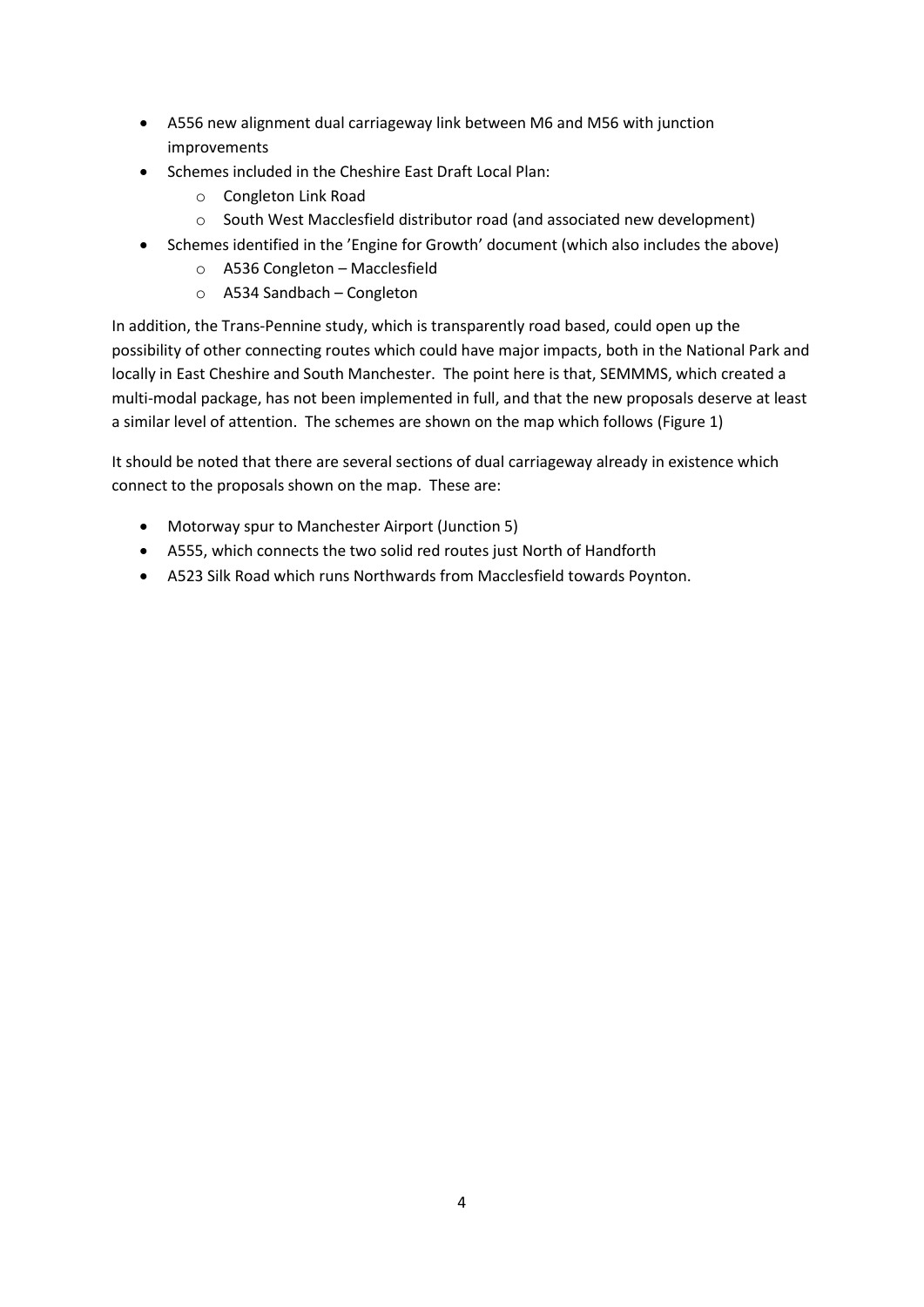- A556 new alignment dual carriageway link between M6 and M56 with junction improvements
- Schemes included in the Cheshire East Draft Local Plan:
	- o Congleton Link Road
	- o South West Macclesfield distributor road (and associated new development)
- Schemes identified in the 'Engine for Growth' document (which also includes the above)
	- o A536 Congleton Macclesfield
	- o A534 Sandbach Congleton

In addition, the Trans-Pennine study, which is transparently road based, could open up the possibility of other connecting routes which could have major impacts, both in the National Park and locally in East Cheshire and South Manchester. The point here is that, SEMMMS, which created a multi-modal package, has not been implemented in full, and that the new proposals deserve at least a similar level of attention. The schemes are shown on the map which follows (Figure 1)

It should be noted that there are several sections of dual carriageway already in existence which connect to the proposals shown on the map. These are:

- Motorway spur to Manchester Airport (Junction 5)
- A555, which connects the two solid red routes just North of Handforth
- A523 Silk Road which runs Northwards from Macclesfield towards Poynton.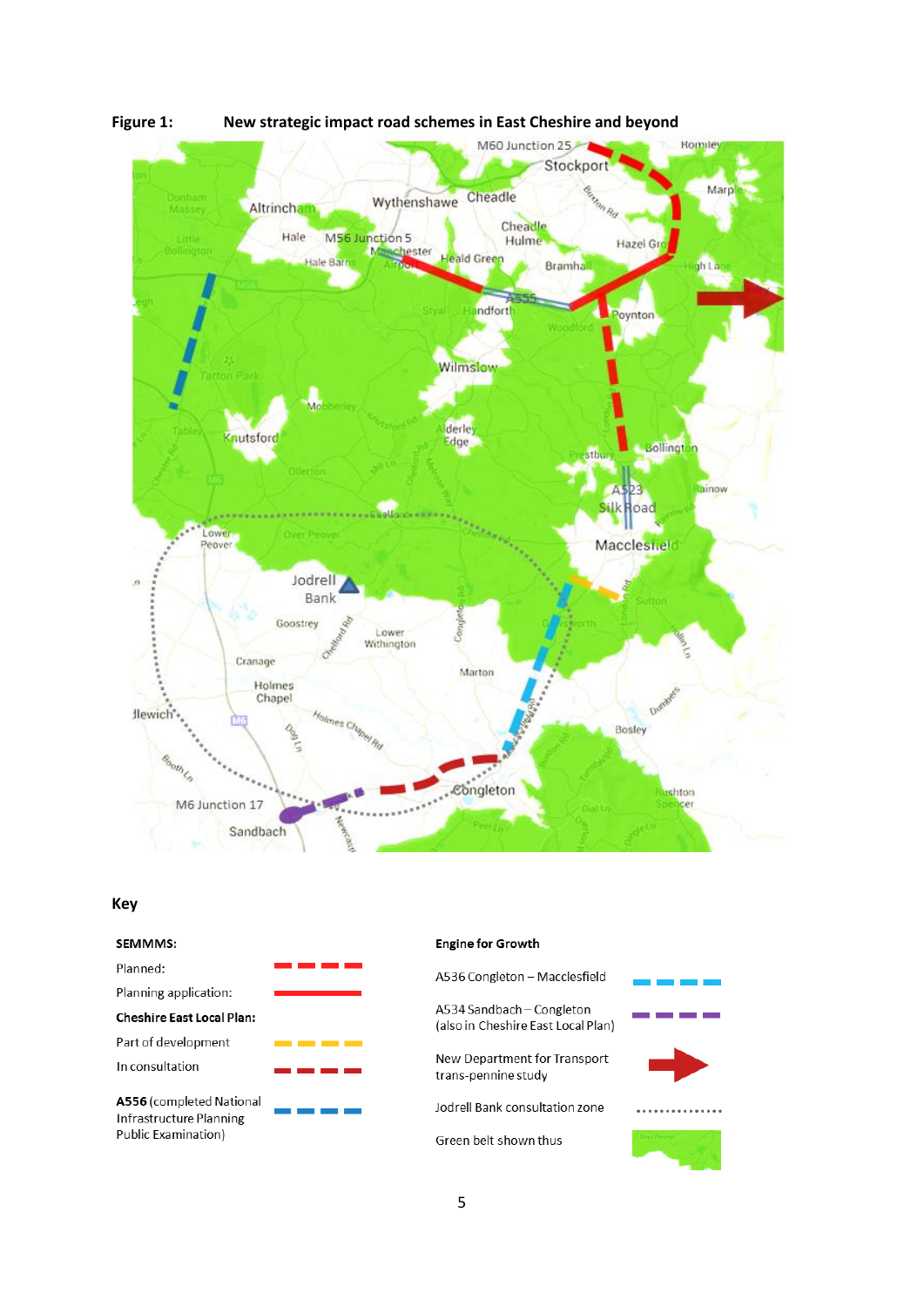

**Figure 1: New strategic impact road schemes in East Cheshire and beyond**

#### **Key**

| <b>SEMMMS:</b>                                                             | <b>Engine for Grov</b>            |
|----------------------------------------------------------------------------|-----------------------------------|
| Planned:                                                                   | A536 Congleto                     |
| Planning application:                                                      |                                   |
| <b>Cheshire East Local Plan:</b>                                           | A534 Sandbach<br>(also in Cheshir |
| Part of development                                                        |                                   |
| In consultation                                                            | New Departme<br>trans-pennine :   |
| A556 (completed National<br>Infrastructure Planning<br>Public Examination) | Jodrell Bank co                   |
|                                                                            | Green belt sho                    |

#### for Growth

| ongleton – Macclesfield                          |  |
|--------------------------------------------------|--|
| andbach – Congleton<br>Cheshire East Local Plan) |  |
| epartment for Transport<br>ennine study          |  |
| Bank consultation zone                           |  |
| belt shown thus                                  |  |
|                                                  |  |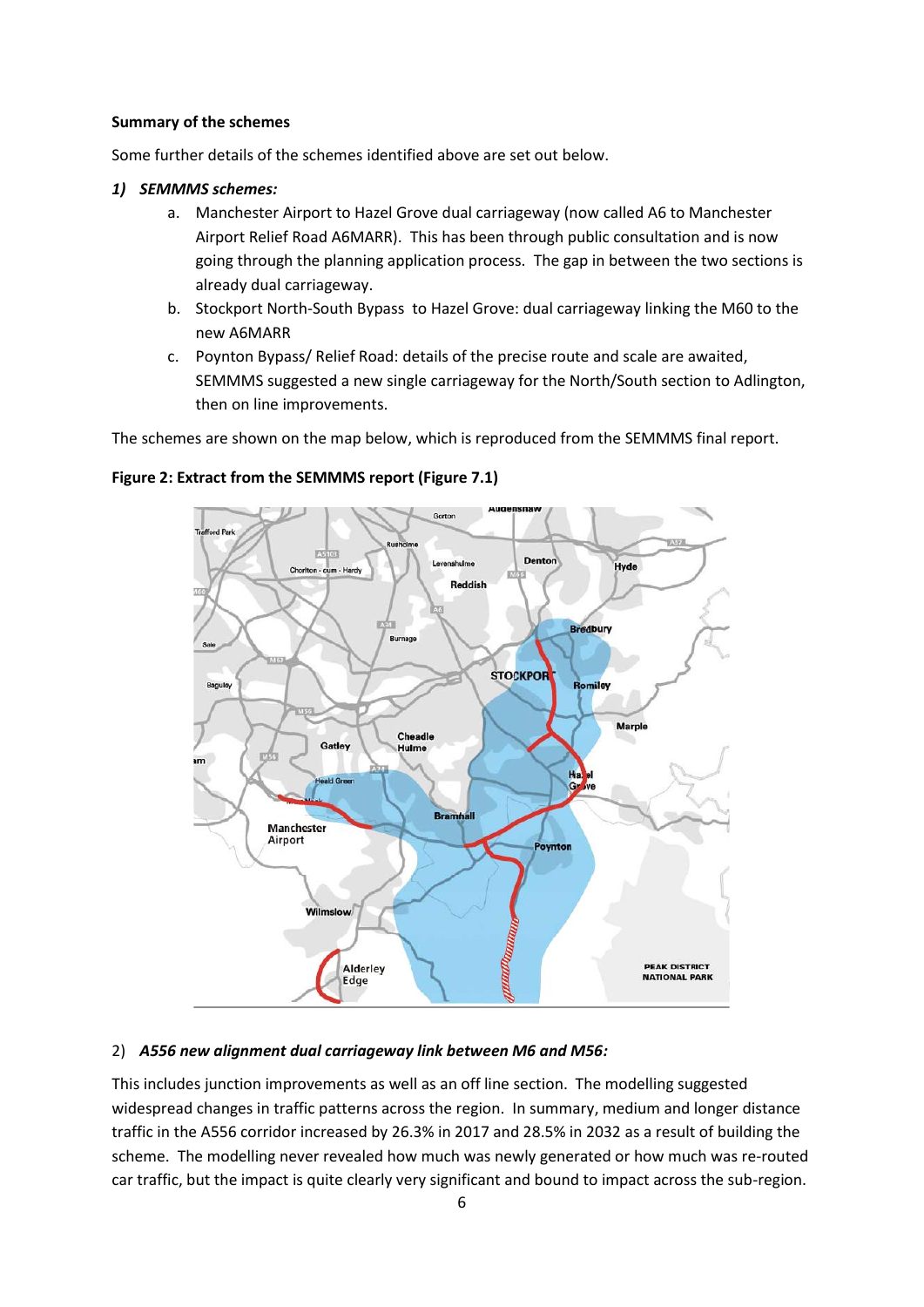#### **Summary of the schemes**

Some further details of the schemes identified above are set out below.

#### *1) SEMMMS schemes:*

- a. Manchester Airport to Hazel Grove dual carriageway (now called A6 to Manchester Airport Relief Road A6MARR). This has been through public consultation and is now going through the planning application process. The gap in between the two sections is already dual carriageway.
- b. Stockport North-South Bypass to Hazel Grove: dual carriageway linking the M60 to the new A6MARR
- c. Poynton Bypass/ Relief Road: details of the precise route and scale are awaited, SEMMMS suggested a new single carriageway for the North/South section to Adlington, then on line improvements.

The schemes are shown on the map below, which is reproduced from the SEMMMS final report.

## **Figure 2: Extract from the SEMMMS report (Figure 7.1)**



#### 2) *A556 new alignment dual carriageway link between M6 and M56:*

This includes junction improvements as well as an off line section. The modelling suggested widespread changes in traffic patterns across the region. In summary, medium and longer distance traffic in the A556 corridor increased by 26.3% in 2017 and 28.5% in 2032 as a result of building the scheme. The modelling never revealed how much was newly generated or how much was re-routed car traffic, but the impact is quite clearly very significant and bound to impact across the sub-region.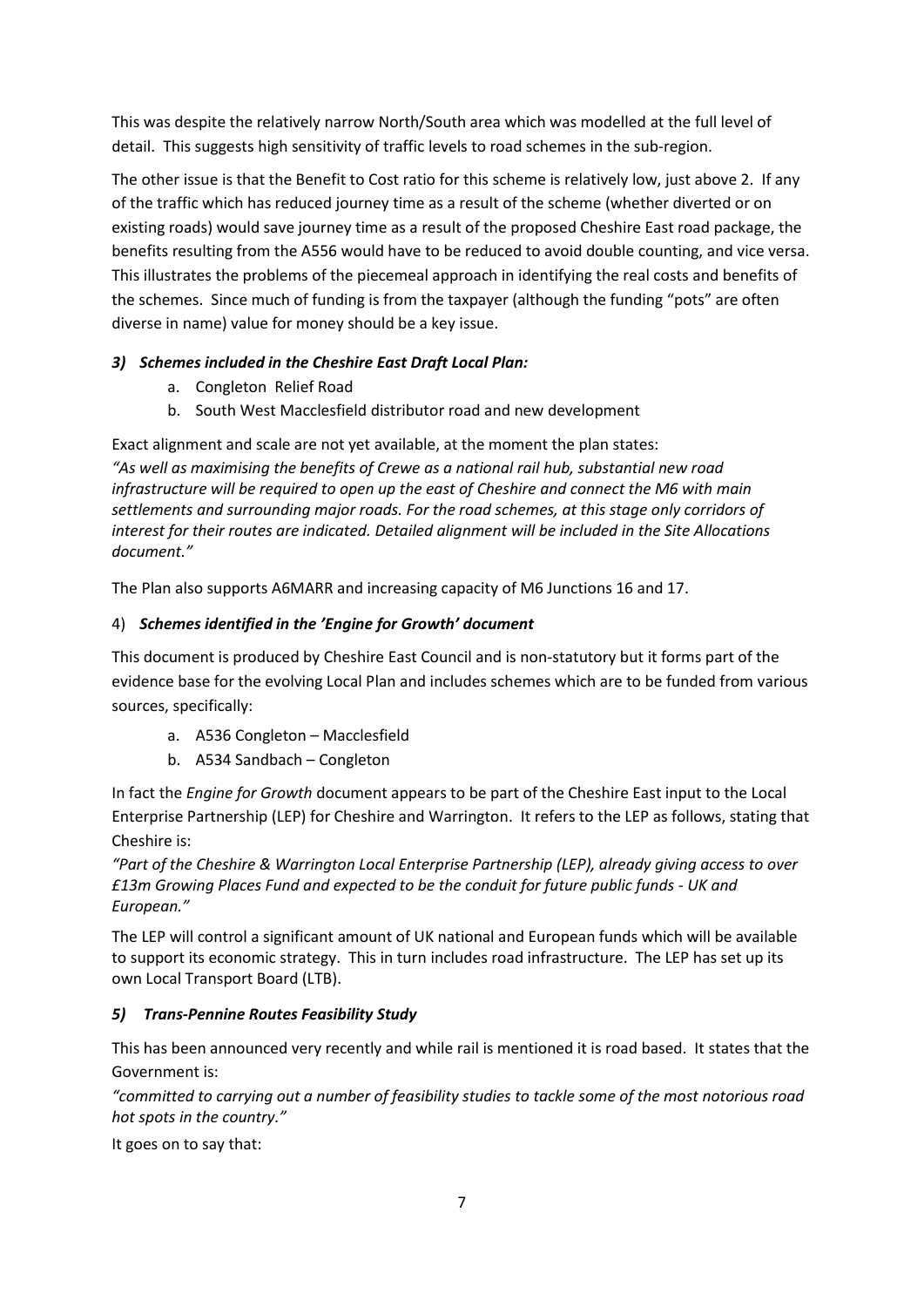This was despite the relatively narrow North/South area which was modelled at the full level of detail. This suggests high sensitivity of traffic levels to road schemes in the sub-region.

The other issue is that the Benefit to Cost ratio for this scheme is relatively low, just above 2. If any of the traffic which has reduced journey time as a result of the scheme (whether diverted or on existing roads) would save journey time as a result of the proposed Cheshire East road package, the benefits resulting from the A556 would have to be reduced to avoid double counting, and vice versa. This illustrates the problems of the piecemeal approach in identifying the real costs and benefits of the schemes. Since much of funding is from the taxpayer (although the funding "pots" are often diverse in name) value for money should be a key issue.

# *3) Schemes included in the Cheshire East Draft Local Plan:*

- a. Congleton Relief Road
- b. South West Macclesfield distributor road and new development

Exact alignment and scale are not yet available, at the moment the plan states:

*"As well as maximising the benefits of Crewe as a national rail hub, substantial new road infrastructure will be required to open up the east of Cheshire and connect the M6 with main settlements and surrounding major roads. For the road schemes, at this stage only corridors of interest for their routes are indicated. Detailed alignment will be included in the Site Allocations document."*

The Plan also supports A6MARR and increasing capacity of M6 Junctions 16 and 17.

# 4) *Schemes identified in the 'Engine for Growth' document*

This document is produced by Cheshire East Council and is non-statutory but it forms part of the evidence base for the evolving Local Plan and includes schemes which are to be funded from various sources, specifically:

- a. A536 Congleton Macclesfield
- b. A534 Sandbach Congleton

In fact the *Engine for Growth* document appears to be part of the Cheshire East input to the Local Enterprise Partnership (LEP) for Cheshire and Warrington. It refers to the LEP as follows, stating that Cheshire is:

*"Part of the Cheshire & Warrington Local Enterprise Partnership (LEP), already giving access to over £13m Growing Places Fund and expected to be the conduit for future public funds - UK and European."*

The LEP will control a significant amount of UK national and European funds which will be available to support its economic strategy. This in turn includes road infrastructure. The LEP has set up its own Local Transport Board (LTB).

# *5) Trans-Pennine Routes Feasibility Study*

This has been announced very recently and while rail is mentioned it is road based. It states that the Government is:

*"committed to carrying out a number of feasibility studies to tackle some of the most notorious road hot spots in the country."*

It goes on to say that: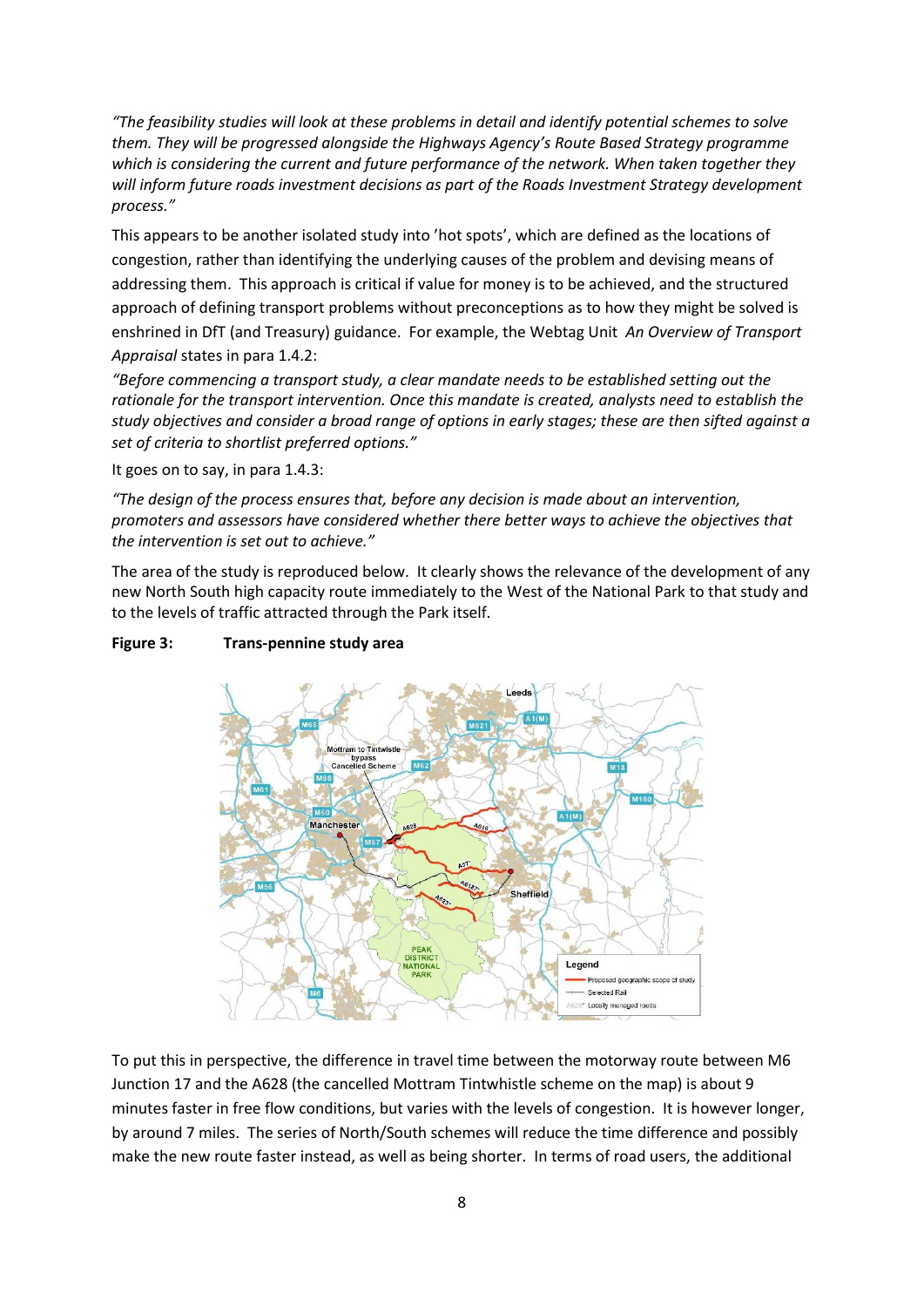*"The feasibility studies will look at these problems in detail and identify potential schemes to solve them. They will be progressed alongside the Highways Agency's Route Based Strategy programme which is considering the current and future performance of the network. When taken together they will inform future roads investment decisions as part of the Roads Investment Strategy development process."*

This appears to be another isolated study into 'hot spots', which are defined as the locations of congestion, rather than identifying the underlying causes of the problem and devising means of addressing them. This approach is critical if value for money is to be achieved, and the structured approach of defining transport problems without preconceptions as to how they might be solved is enshrined in DfT (and Treasury) guidance. For example, the Webtag Unit *An Overview of Transport Appraisal* states in para 1.4.2:

*"Before commencing a transport study, a clear mandate needs to be established setting out the rationale for the transport intervention. Once this mandate is created, analysts need to establish the study objectives and consider a broad range of options in early stages; these are then sifted against a set of criteria to shortlist preferred options."*

It goes on to say, in para 1.4.3:

*"The design of the process ensures that, before any decision is made about an intervention, promoters and assessors have considered whether there better ways to achieve the objectives that the intervention is set out to achieve."*

The area of the study is reproduced below. It clearly shows the relevance of the development of any new North South high capacity route immediately to the West of the National Park to that study and to the levels of traffic attracted through the Park itself.

# M62 lottram to Til bypass<br>celled Sche Can MRS Manchester Sheffield Legend ed geographic scope of study Selected Rail A623\* Locally managed roads

#### **Figure 3: Trans-pennine study area**

To put this in perspective, the difference in travel time between the motorway route between M6 Junction 17 and the A628 (the cancelled Mottram Tintwhistle scheme on the map) is about 9 minutes faster in free flow conditions, but varies with the levels of congestion. It is however longer, by around 7 miles. The series of North/South schemes will reduce the time difference and possibly make the new route faster instead, as well as being shorter. In terms of road users, the additional